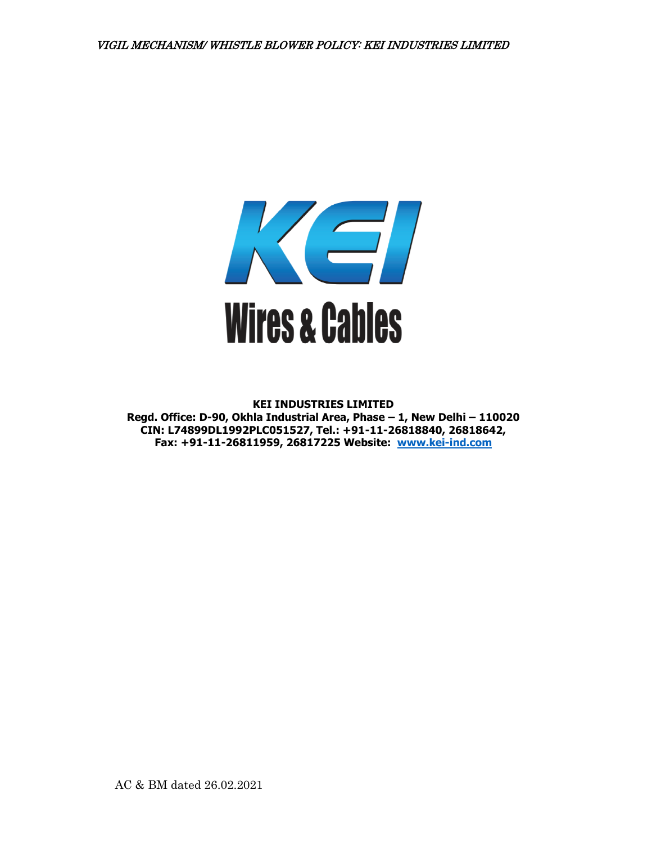

**KEI INDUSTRIES LIMITED Regd. Office: D-90, Okhla Industrial Area, Phase – 1, New Delhi – 110020 CIN: L74899DL1992PLC051527, Tel.: +91-11-26818840, 26818642, Fax: +91-11-26811959, 26817225 Website: [www.kei-ind.com](http://www.kei-ind.com/)**

AC & BM dated 26.02.2021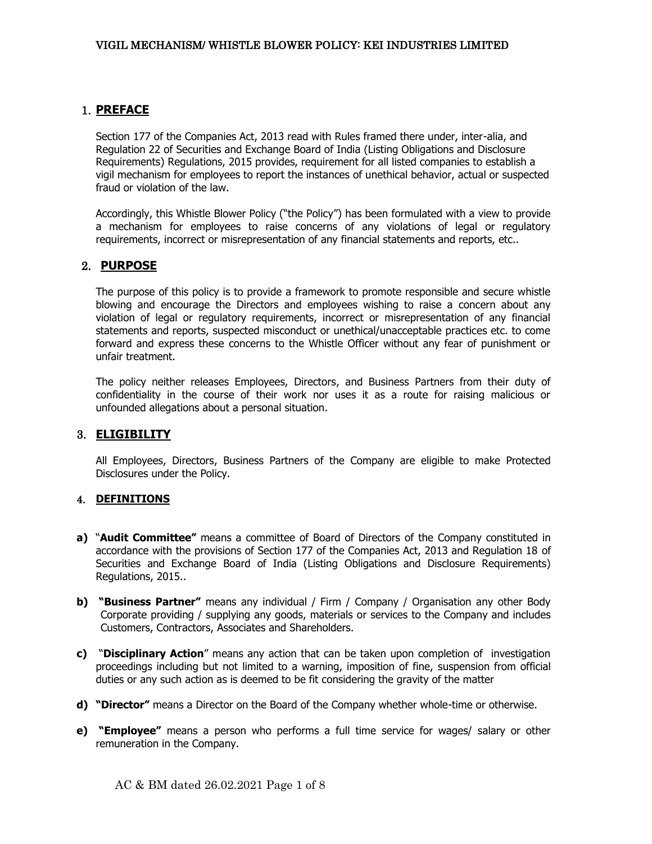# 1. **PREFACE**

Section 177 of the Companies Act, 2013 read with Rules framed there under, inter-alia, and Regulation 22 of Securities and Exchange Board of India (Listing Obligations and Disclosure Requirements) Regulations, 2015 provides, requirement for all listed companies to establish a vigil mechanism for employees to report the instances of unethical behavior, actual or suspected fraud or violation of the law.

Accordingly, this Whistle Blower Policy ("the Policy") has been formulated with a view to provide a mechanism for employees to raise concerns of any violations of legal or regulatory requirements, incorrect or misrepresentation of any financial statements and reports, etc..

# 2. **PURPOSE**

The purpose of this policy is to provide a framework to promote responsible and secure whistle blowing and encourage the Directors and employees wishing to raise a concern about any violation of legal or regulatory requirements, incorrect or misrepresentation of any financial statements and reports, suspected misconduct or unethical/unacceptable practices etc. to come forward and express these concerns to the Whistle Officer without any fear of punishment or unfair treatment.

The policy neither releases Employees, Directors, and Business Partners from their duty of confidentiality in the course of their work nor uses it as a route for raising malicious or unfounded allegations about a personal situation.

## 3. **ELIGIBILITY**

All Employees, Directors, Business Partners of the Company are eligible to make Protected Disclosures under the Policy.

## 4. **DEFINITIONS**

- **a)** "**Audit Committee"** means a committee of Board of Directors of the Company constituted in accordance with the provisions of Section 177 of the Companies Act, 2013 and Regulation 18 of Securities and Exchange Board of India (Listing Obligations and Disclosure Requirements) Regulations, 2015..
- **b) "Business Partner"** means any individual / Firm / Company / Organisation any other Body Corporate providing / supplying any goods, materials or services to the Company and includes Customers, Contractors, Associates and Shareholders.
- **c)** "**Disciplinary Action**" means any action that can be taken upon completion of investigation proceedings including but not limited to a warning, imposition of fine, suspension from official duties or any such action as is deemed to be fit considering the gravity of the matter
- **d) "Director"** means a Director on the Board of the Company whether whole-time or otherwise.
- **e) "Employee"** means a person who performs a full time service for wages/ salary or other remuneration in the Company.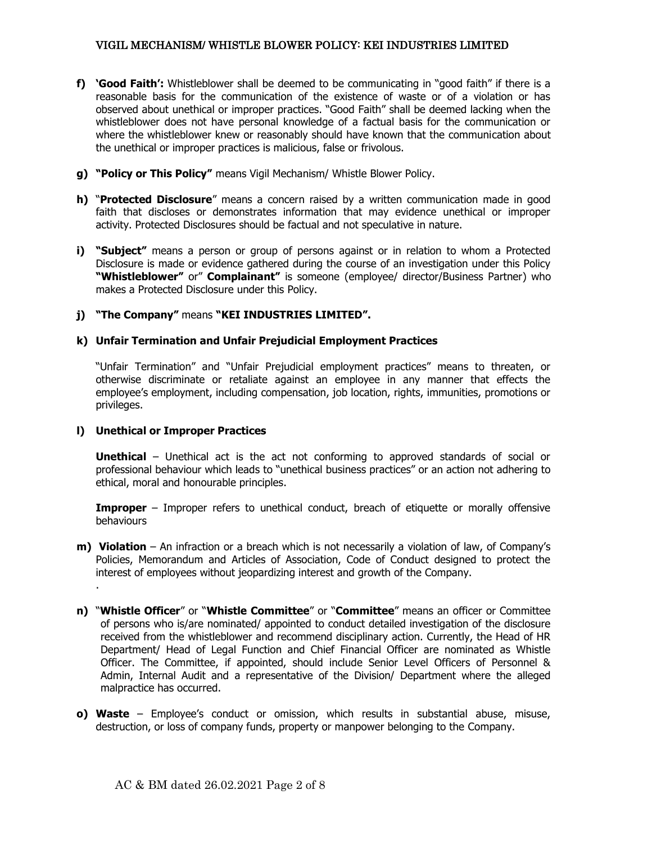- **f) 'Good Faith':** Whistleblower shall be deemed to be communicating in "good faith" if there is a reasonable basis for the communication of the existence of waste or of a violation or has observed about unethical or improper practices. "Good Faith" shall be deemed lacking when the whistleblower does not have personal knowledge of a factual basis for the communication or where the whistleblower knew or reasonably should have known that the communication about the unethical or improper practices is malicious, false or frivolous.
- **g) "Policy or This Policy"** means Vigil Mechanism/ Whistle Blower Policy.
- **h)** "**Protected Disclosure**" means a concern raised by a written communication made in good faith that discloses or demonstrates information that may evidence unethical or improper activity. Protected Disclosures should be factual and not speculative in nature.
- **i) "Subject"** means a person or group of persons against or in relation to whom a Protected Disclosure is made or evidence gathered during the course of an investigation under this Policy **"Whistleblower"** or" **Complainant"** is someone (employee/ director/Business Partner) who makes a Protected Disclosure under this Policy.
- **j) "The Company"** means **"KEI INDUSTRIES LIMITED".**

#### **k) Unfair Termination and Unfair Prejudicial Employment Practices**

"Unfair Termination" and "Unfair Prejudicial employment practices" means to threaten, or otherwise discriminate or retaliate against an employee in any manner that effects the employee's employment, including compensation, job location, rights, immunities, promotions or privileges.

## **l) Unethical or Improper Practices**

.

**Unethical** – Unethical act is the act not conforming to approved standards of social or professional behaviour which leads to "unethical business practices" or an action not adhering to ethical, moral and honourable principles.

**Improper** – Improper refers to unethical conduct, breach of etiquette or morally offensive behaviours

- **m) Violation** An infraction or a breach which is not necessarily a violation of law, of Company's Policies, Memorandum and Articles of Association, Code of Conduct designed to protect the interest of employees without jeopardizing interest and growth of the Company.
- **n)** "**Whistle Officer**" or "**Whistle Committee**" or "**Committee**" means an officer or Committee of persons who is/are nominated/ appointed to conduct detailed investigation of the disclosure received from the whistleblower and recommend disciplinary action. Currently, the Head of HR Department/ Head of Legal Function and Chief Financial Officer are nominated as Whistle Officer. The Committee, if appointed, should include Senior Level Officers of Personnel & Admin, Internal Audit and a representative of the Division/ Department where the alleged malpractice has occurred.
- **o) Waste**  Employee's conduct or omission, which results in substantial abuse, misuse, destruction, or loss of company funds, property or manpower belonging to the Company.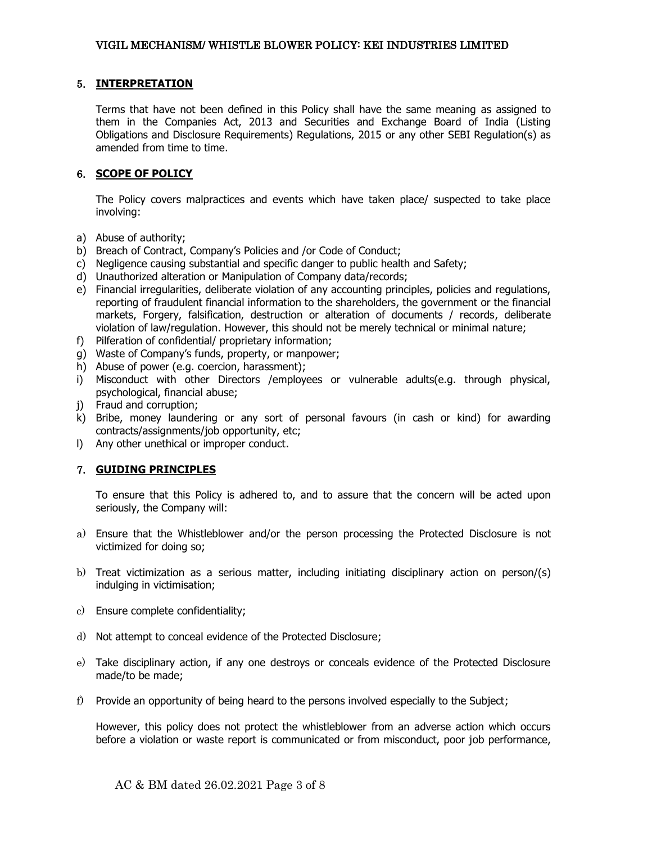### 5. **INTERPRETATION**

Terms that have not been defined in this Policy shall have the same meaning as assigned to them in the Companies Act, 2013 and Securities and Exchange Board of India (Listing Obligations and Disclosure Requirements) Regulations, 2015 or any other SEBI Regulation(s) as amended from time to time.

## 6. **SCOPE OF POLICY**

The Policy covers malpractices and events which have taken place/ suspected to take place involving:

- a) Abuse of authority;
- b) Breach of Contract, Company's Policies and /or Code of Conduct;
- c) Negligence causing substantial and specific danger to public health and Safety;
- d) Unauthorized alteration or Manipulation of Company data/records;
- e) Financial irregularities, deliberate violation of any accounting principles, policies and regulations, reporting of fraudulent financial information to the shareholders, the government or the financial markets, Forgery, falsification, destruction or alteration of documents / records, deliberate violation of law/regulation. However, this should not be merely technical or minimal nature;
- f) Pilferation of confidential/ proprietary information;
- g) Waste of Company's funds, property, or manpower;
- h) Abuse of power (e.g. coercion, harassment);
- i) Misconduct with other Directors /employees or vulnerable adults(e.g. through physical, psychological, financial abuse;
- j) Fraud and corruption;
- k) Bribe, money laundering or any sort of personal favours (in cash or kind) for awarding contracts/assignments/job opportunity, etc;
- l) Any other unethical or improper conduct.

## 7. **GUIDING PRINCIPLES**

To ensure that this Policy is adhered to, and to assure that the concern will be acted upon seriously, the Company will:

- a) Ensure that the Whistleblower and/or the person processing the Protected Disclosure is not victimized for doing so;
- b) Treat victimization as a serious matter, including initiating disciplinary action on person/(s) indulging in victimisation;
- c) Ensure complete confidentiality;
- d) Not attempt to conceal evidence of the Protected Disclosure;
- e) Take disciplinary action, if any one destroys or conceals evidence of the Protected Disclosure made/to be made;
- f) Provide an opportunity of being heard to the persons involved especially to the Subject;

However, this policy does not protect the whistleblower from an adverse action which occurs before a violation or waste report is communicated or from misconduct, poor job performance,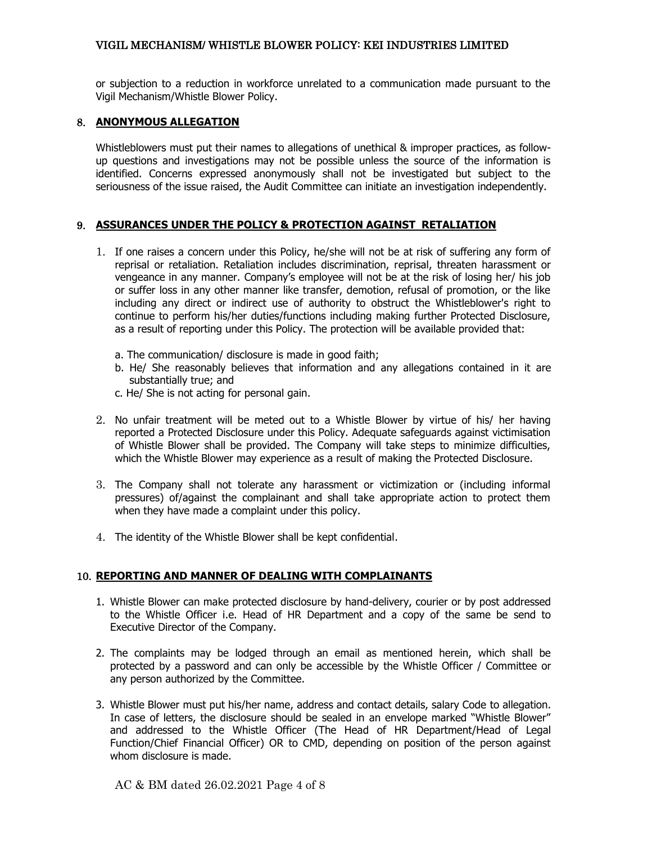or subjection to a reduction in workforce unrelated to a communication made pursuant to the Vigil Mechanism/Whistle Blower Policy.

## 8. **ANONYMOUS ALLEGATION**

Whistleblowers must put their names to allegations of unethical & improper practices, as followup questions and investigations may not be possible unless the source of the information is identified. Concerns expressed anonymously shall not be investigated but subject to the seriousness of the issue raised, the Audit Committee can initiate an investigation independently.

## 9. **ASSURANCES UNDER THE POLICY & PROTECTION AGAINST RETALIATION**

- 1. If one raises a concern under this Policy, he/she will not be at risk of suffering any form of reprisal or retaliation. Retaliation includes discrimination, reprisal, threaten harassment or vengeance in any manner. Company's employee will not be at the risk of losing her/ his job or suffer loss in any other manner like transfer, demotion, refusal of promotion, or the like including any direct or indirect use of authority to obstruct the Whistleblower's right to continue to perform his/her duties/functions including making further Protected Disclosure, as a result of reporting under this Policy. The protection will be available provided that:
	- a. The communication/ disclosure is made in good faith;
	- b. He/ She reasonably believes that information and any allegations contained in it are substantially true; and
	- c. He/ She is not acting for personal gain.
- 2. No unfair treatment will be meted out to a Whistle Blower by virtue of his/ her having reported a Protected Disclosure under this Policy. Adequate safeguards against victimisation of Whistle Blower shall be provided. The Company will take steps to minimize difficulties, which the Whistle Blower may experience as a result of making the Protected Disclosure.
- 3. The Company shall not tolerate any harassment or victimization or (including informal pressures) of/against the complainant and shall take appropriate action to protect them when they have made a complaint under this policy.
- 4. The identity of the Whistle Blower shall be kept confidential.

## 10. **REPORTING AND MANNER OF DEALING WITH COMPLAINANTS**

- 1. Whistle Blower can make protected disclosure by hand-delivery, courier or by post addressed to the Whistle Officer i.e. Head of HR Department and a copy of the same be send to Executive Director of the Company.
- 2. The complaints may be lodged through an email as mentioned herein, which shall be protected by a password and can only be accessible by the Whistle Officer / Committee or any person authorized by the Committee.
- 3. Whistle Blower must put his/her name, address and contact details, salary Code to allegation. In case of letters, the disclosure should be sealed in an envelope marked "Whistle Blower" and addressed to the Whistle Officer (The Head of HR Department/Head of Legal Function/Chief Financial Officer) OR to CMD, depending on position of the person against whom disclosure is made.

AC & BM dated 26.02.2021 Page 4 of 8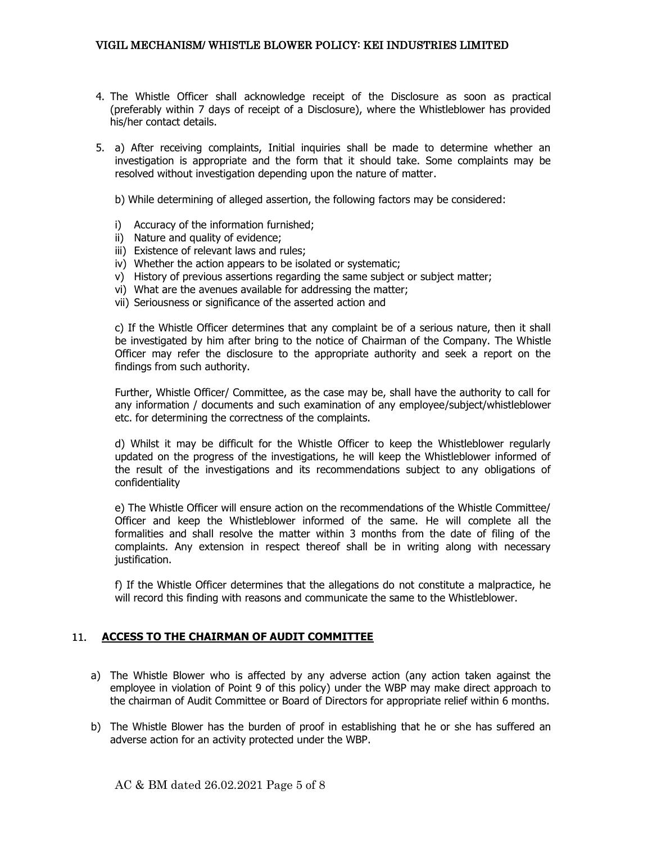- 4. The Whistle Officer shall acknowledge receipt of the Disclosure as soon as practical (preferably within 7 days of receipt of a Disclosure), where the Whistleblower has provided his/her contact details.
- 5. a) After receiving complaints, Initial inquiries shall be made to determine whether an investigation is appropriate and the form that it should take. Some complaints may be resolved without investigation depending upon the nature of matter.

b) While determining of alleged assertion, the following factors may be considered:

- i) Accuracy of the information furnished;
- ii) Nature and quality of evidence;
- iii) Existence of relevant laws and rules;
- iv) Whether the action appears to be isolated or systematic;
- v) History of previous assertions regarding the same subject or subject matter;
- vi) What are the avenues available for addressing the matter;
- vii) Seriousness or significance of the asserted action and

c) If the Whistle Officer determines that any complaint be of a serious nature, then it shall be investigated by him after bring to the notice of Chairman of the Company. The Whistle Officer may refer the disclosure to the appropriate authority and seek a report on the findings from such authority.

Further, Whistle Officer/ Committee, as the case may be, shall have the authority to call for any information / documents and such examination of any employee/subject/whistleblower etc. for determining the correctness of the complaints.

d) Whilst it may be difficult for the Whistle Officer to keep the Whistleblower regularly updated on the progress of the investigations, he will keep the Whistleblower informed of the result of the investigations and its recommendations subject to any obligations of confidentiality

e) The Whistle Officer will ensure action on the recommendations of the Whistle Committee/ Officer and keep the Whistleblower informed of the same. He will complete all the formalities and shall resolve the matter within 3 months from the date of filing of the complaints. Any extension in respect thereof shall be in writing along with necessary justification.

f) If the Whistle Officer determines that the allegations do not constitute a malpractice, he will record this finding with reasons and communicate the same to the Whistleblower.

## 11. **ACCESS TO THE CHAIRMAN OF AUDIT COMMITTEE**

- a) The Whistle Blower who is affected by any adverse action (any action taken against the employee in violation of Point 9 of this policy) under the WBP may make direct approach to the chairman of Audit Committee or Board of Directors for appropriate relief within 6 months.
- b) The Whistle Blower has the burden of proof in establishing that he or she has suffered an adverse action for an activity protected under the WBP.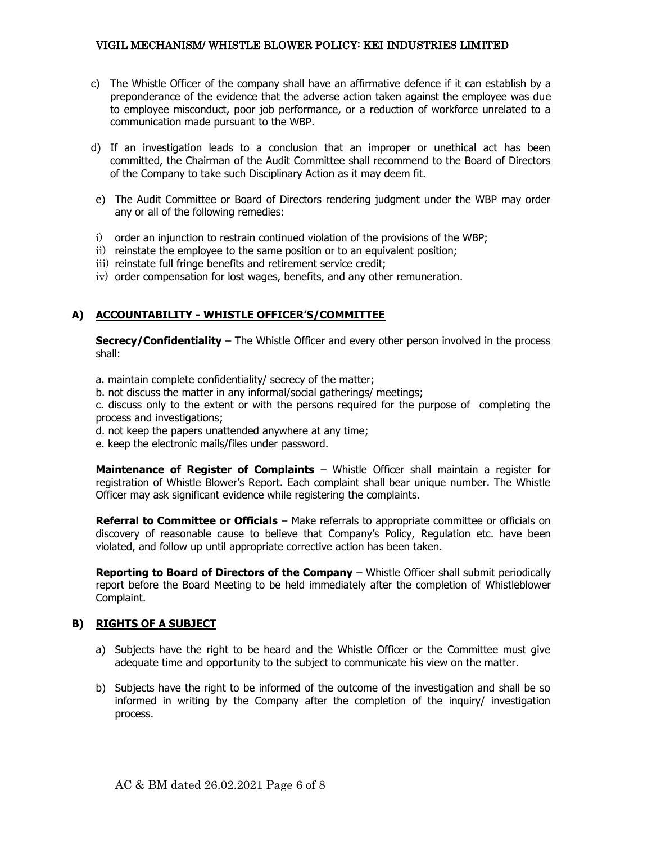- c) The Whistle Officer of the company shall have an affirmative defence if it can establish by a preponderance of the evidence that the adverse action taken against the employee was due to employee misconduct, poor job performance, or a reduction of workforce unrelated to a communication made pursuant to the WBP.
- d) If an investigation leads to a conclusion that an improper or unethical act has been committed, the Chairman of the Audit Committee shall recommend to the Board of Directors of the Company to take such Disciplinary Action as it may deem fit.
- e) The Audit Committee or Board of Directors rendering judgment under the WBP may order any or all of the following remedies:
- i) order an injunction to restrain continued violation of the provisions of the WBP;
- ii) reinstate the employee to the same position or to an equivalent position;
- iii) reinstate full fringe benefits and retirement service credit;
- iv) order compensation for lost wages, benefits, and any other remuneration.

## **A) ACCOUNTABILITY - WHISTLE OFFICER'S/COMMITTEE**

**Secrecy/Confidentiality** – The Whistle Officer and every other person involved in the process shall:

a. maintain complete confidentiality/ secrecy of the matter;

b. not discuss the matter in any informal/social gatherings/ meetings;

c. discuss only to the extent or with the persons required for the purpose of completing the process and investigations;

- d. not keep the papers unattended anywhere at any time;
- e. keep the electronic mails/files under password.

**Maintenance of Register of Complaints** – Whistle Officer shall maintain a register for registration of Whistle Blower's Report. Each complaint shall bear unique number. The Whistle Officer may ask significant evidence while registering the complaints.

**Referral to Committee or Officials** – Make referrals to appropriate committee or officials on discovery of reasonable cause to believe that Company's Policy, Regulation etc. have been violated, and follow up until appropriate corrective action has been taken.

**Reporting to Board of Directors of the Company** – Whistle Officer shall submit periodically report before the Board Meeting to be held immediately after the completion of Whistleblower Complaint.

## **B) RIGHTS OF A SUBJECT**

- a) Subjects have the right to be heard and the Whistle Officer or the Committee must give adequate time and opportunity to the subject to communicate his view on the matter.
- b) Subjects have the right to be informed of the outcome of the investigation and shall be so informed in writing by the Company after the completion of the inquiry/ investigation process.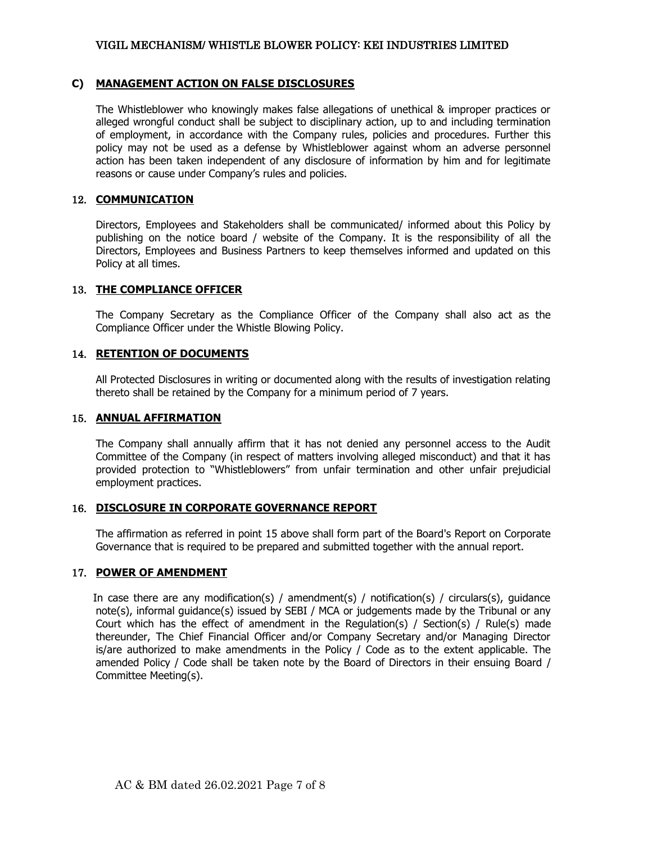#### **C) MANAGEMENT ACTION ON FALSE DISCLOSURES**

The Whistleblower who knowingly makes false allegations of unethical & improper practices or alleged wrongful conduct shall be subject to disciplinary action, up to and including termination of employment, in accordance with the Company rules, policies and procedures. Further this policy may not be used as a defense by Whistleblower against whom an adverse personnel action has been taken independent of any disclosure of information by him and for legitimate reasons or cause under Company's rules and policies.

### 12. **COMMUNICATION**

Directors, Employees and Stakeholders shall be communicated/ informed about this Policy by publishing on the notice board / website of the Company. It is the responsibility of all the Directors, Employees and Business Partners to keep themselves informed and updated on this Policy at all times.

#### 13. **THE COMPLIANCE OFFICER**

The Company Secretary as the Compliance Officer of the Company shall also act as the Compliance Officer under the Whistle Blowing Policy.

#### 14. **RETENTION OF DOCUMENTS**

All Protected Disclosures in writing or documented along with the results of investigation relating thereto shall be retained by the Company for a minimum period of 7 years.

#### 15. **ANNUAL AFFIRMATION**

The Company shall annually affirm that it has not denied any personnel access to the Audit Committee of the Company (in respect of matters involving alleged misconduct) and that it has provided protection to "Whistleblowers" from unfair termination and other unfair prejudicial employment practices.

#### 16. **DISCLOSURE IN CORPORATE GOVERNANCE REPORT**

The affirmation as referred in point 15 above shall form part of the Board's Report on Corporate Governance that is required to be prepared and submitted together with the annual report.

## 17. **POWER OF AMENDMENT**

 In case there are any modification(s) / amendment(s) / notification(s) / circulars(s), guidance note(s), informal guidance(s) issued by SEBI / MCA or judgements made by the Tribunal or any Court which has the effect of amendment in the Regulation(s) / Section(s) / Rule(s) made thereunder, The Chief Financial Officer and/or Company Secretary and/or Managing Director is/are authorized to make amendments in the Policy / Code as to the extent applicable. The amended Policy / Code shall be taken note by the Board of Directors in their ensuing Board / Committee Meeting(s).